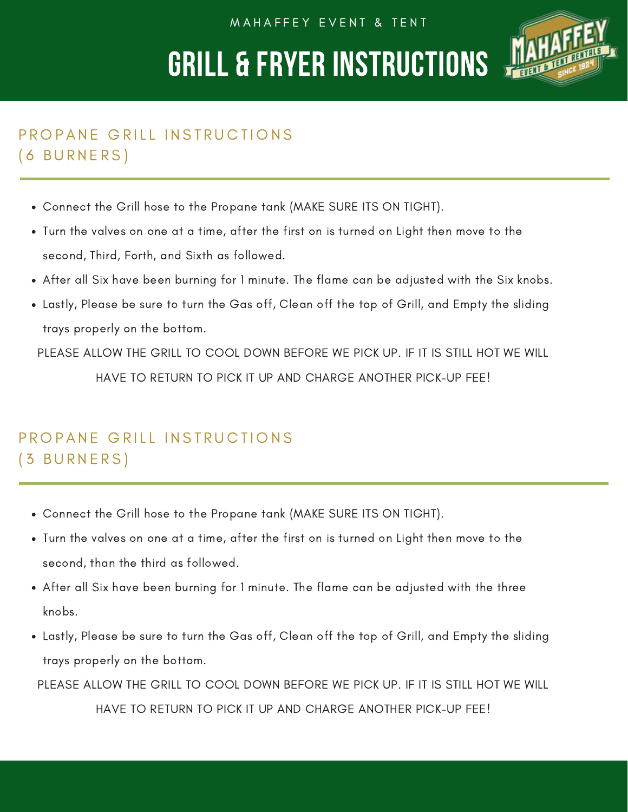M A H A F F E Y E V E N T & T E N T

## GRILL & FRYER INSTRUCTIONS



### PROPANE GRILL INSTRUCTIONS ( 6 B U R N E R S )

- Connect the Grill hose to the Propane tank (MAKE SURE ITS ON TIGHT).
- Turn the valves on one at a time, after the first on is turned on Light then move to the second, Third, Forth, and Sixth as followed.
- After all Six have been burning for 1 minute. The flame can be adjusted with the Six knobs.
- Lastly, Please be sure to turn the Gas off, Clean off the top of Grill, and Empty the sliding trays properly on the bottom.

PLEASE ALLOW THE GRILL TO COOL DOWN BEFORE WE PICK UP. IF IT IS STILL HOT WE WILL HAVE TO RETURN TO PICK IT UP AND CHARGE ANOTHER PICK-UP FEE!

### PROPANE GRILL INSTRUCTIONS ( 3 B U R N E R S )

- Connect the Grill hose to the Propane tank (MAKE SURE ITS ON TIGHT).
- Turn the valves on one at a time, after the first on is turned on Light then move to the second, than the third as followed.
- After all Six have been burning for 1 minute. The flame can be adjusted with the three knobs.
- Lastly, Please be sure to turn the Gas off, Clean off the top of Grill, and Empty the sliding trays properly on the bottom.

PLEASE ALLOW THE GRILL TO COOL DOWN BEFORE WE PICK UP. IF IT IS STILL HOT WE WILL

HAVE TO RETURN TO PICK IT UP AND CHARGE ANOTHER PICK-UP FEE!